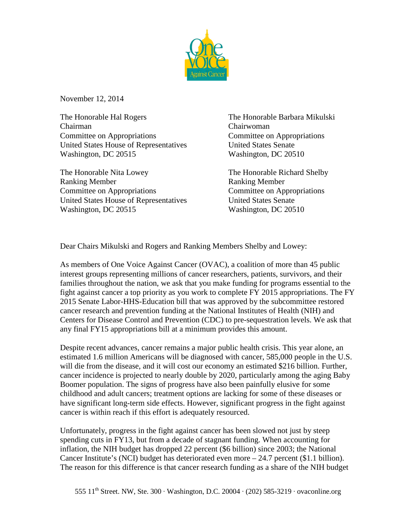

November 12, 2014

The Honorable Hal Rogers The Honorable Barbara Mikulski Chairman Chairwoman Committee on Appropriations Committee on Appropriations United States House of Representatives United States Senate Washington, DC 20515 Washington, DC 20510

The Honorable Nita Lowey The Honorable Richard Shelby Ranking Member Ranking Member Committee on Appropriations Committee on Appropriations United States House of Representatives United States Senate Washington, DC 20515 Washington, DC 20510

Dear Chairs Mikulski and Rogers and Ranking Members Shelby and Lowey:

As members of One Voice Against Cancer (OVAC), a coalition of more than 45 public interest groups representing millions of cancer researchers, patients, survivors, and their families throughout the nation, we ask that you make funding for programs essential to the fight against cancer a top priority as you work to complete FY 2015 appropriations. The FY 2015 Senate Labor-HHS-Education bill that was approved by the subcommittee restored cancer research and prevention funding at the National Institutes of Health (NIH) and Centers for Disease Control and Prevention (CDC) to pre-sequestration levels. We ask that any final FY15 appropriations bill at a minimum provides this amount.

Despite recent advances, cancer remains a major public health crisis. This year alone, an estimated 1.6 million Americans will be diagnosed with cancer, 585,000 people in the U.S. will die from the disease, and it will cost our economy an estimated \$216 billion. Further, cancer incidence is projected to nearly double by 2020, particularly among the aging Baby Boomer population. The signs of progress have also been painfully elusive for some childhood and adult cancers; treatment options are lacking for some of these diseases or have significant long-term side effects. However, significant progress in the fight against cancer is within reach if this effort is adequately resourced.

Unfortunately, progress in the fight against cancer has been slowed not just by steep spending cuts in FY13, but from a decade of stagnant funding. When accounting for inflation, the NIH budget has dropped 22 percent (\$6 billion) since 2003; the National Cancer Institute's (NCI) budget has deteriorated even more – 24.7 percent (\$1.1 billion). The reason for this difference is that cancer research funding as a share of the NIH budget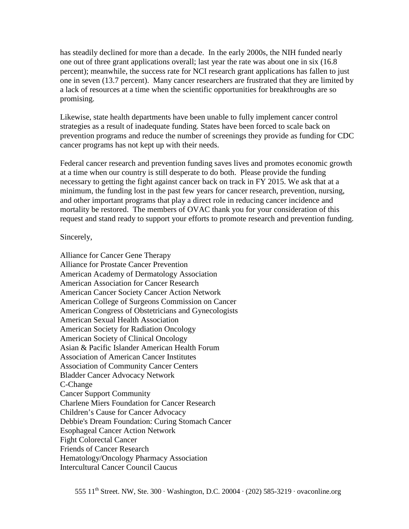has steadily declined for more than a decade. In the early 2000s, the NIH funded nearly one out of three grant applications overall; last year the rate was about one in six (16.8 percent); meanwhile, the success rate for NCI research grant applications has fallen to just one in seven (13.7 percent). Many cancer researchers are frustrated that they are limited by a lack of resources at a time when the scientific opportunities for breakthroughs are so promising.

Likewise, state health departments have been unable to fully implement cancer control strategies as a result of inadequate funding. States have been forced to scale back on prevention programs and reduce the number of screenings they provide as funding for CDC cancer programs has not kept up with their needs.

Federal cancer research and prevention funding saves lives and promotes economic growth at a time when our country is still desperate to do both. Please provide the funding necessary to getting the fight against cancer back on track in FY 2015. We ask that at a minimum, the funding lost in the past few years for cancer research, prevention, nursing, and other important programs that play a direct role in reducing cancer incidence and mortality be restored. The members of OVAC thank you for your consideration of this request and stand ready to support your efforts to promote research and prevention funding.

## Sincerely,

Alliance for Cancer Gene Therapy Alliance for Prostate Cancer Prevention American Academy of Dermatology Association American Association for Cancer Research American Cancer Society Cancer Action Network American College of Surgeons Commission on Cancer American Congress of Obstetricians and Gynecologists American Sexual Health Association American Society for Radiation Oncology American Society of Clinical Oncology Asian & Pacific Islander American Health Forum Association of American Cancer Institutes Association of Community Cancer Centers Bladder Cancer Advocacy Network C-Change Cancer Support Community Charlene Miers Foundation for Cancer Research Children's Cause for Cancer Advocacy Debbie's Dream Foundation: Curing Stomach Cancer Esophageal Cancer Action Network Fight Colorectal Cancer Friends of Cancer Research Hematology/Oncology Pharmacy Association Intercultural Cancer Council Caucus